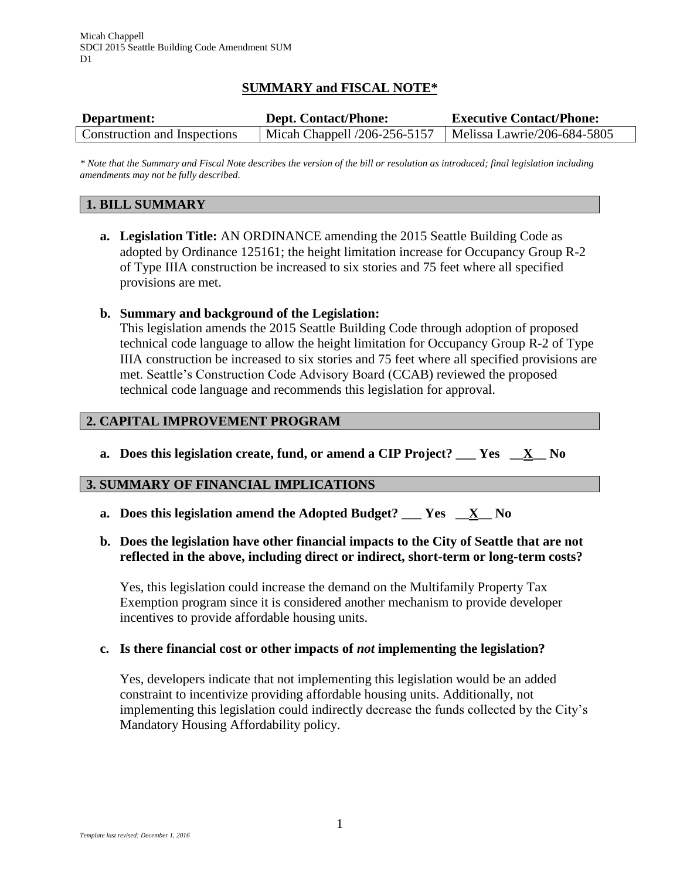# **SUMMARY and FISCAL NOTE\***

| Department:                  | <b>Dept. Contact/Phone:</b>  | <b>Executive Contact/Phone:</b> |
|------------------------------|------------------------------|---------------------------------|
| Construction and Inspections | Micah Chappell /206-256-5157 | Melissa Lawrie/206-684-5805     |

*\* Note that the Summary and Fiscal Note describes the version of the bill or resolution as introduced; final legislation including amendments may not be fully described.*

### **1. BILL SUMMARY**

**a. Legislation Title:** AN ORDINANCE amending the 2015 Seattle Building Code as adopted by Ordinance 125161; the height limitation increase for Occupancy Group R-2 of Type IIIA construction be increased to six stories and 75 feet where all specified provisions are met.

#### **b. Summary and background of the Legislation:**

This legislation amends the 2015 Seattle Building Code through adoption of proposed technical code language to allow the height limitation for Occupancy Group R-2 of Type IIIA construction be increased to six stories and 75 feet where all specified provisions are met. Seattle's Construction Code Advisory Board (CCAB) reviewed the proposed technical code language and recommends this legislation for approval.

### **2. CAPITAL IMPROVEMENT PROGRAM**

**a. Does this legislation create, fund, or amend a CIP Project? \_\_\_ Yes \_\_X\_\_ No**

#### **3. SUMMARY OF FINANCIAL IMPLICATIONS**

**a. Does this legislation amend the Adopted Budget? \_\_\_ Yes \_\_X\_\_ No**

### **b. Does the legislation have other financial impacts to the City of Seattle that are not reflected in the above, including direct or indirect, short-term or long-term costs?**

Yes, this legislation could increase the demand on the Multifamily Property Tax Exemption program since it is considered another mechanism to provide developer incentives to provide affordable housing units.

### **c. Is there financial cost or other impacts of** *not* **implementing the legislation?**

Yes, developers indicate that not implementing this legislation would be an added constraint to incentivize providing affordable housing units. Additionally, not implementing this legislation could indirectly decrease the funds collected by the City's Mandatory Housing Affordability policy.